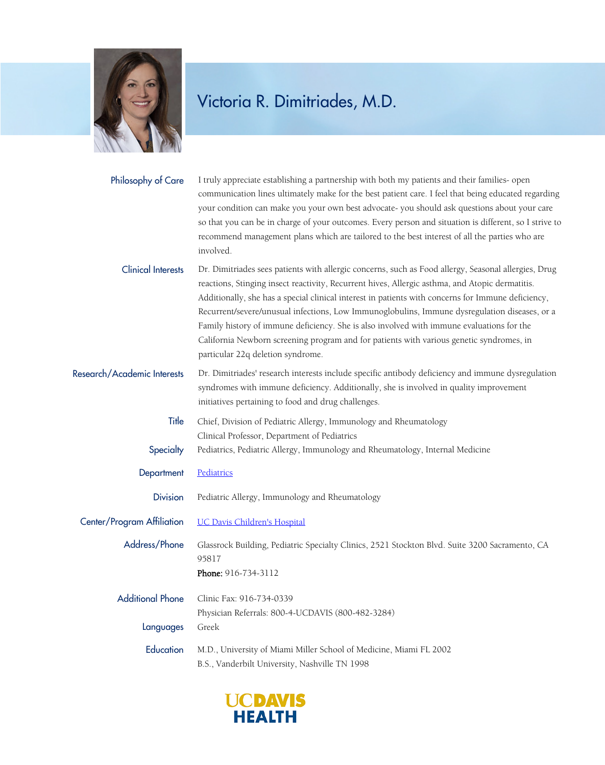

## Victoria R. Dimitriades, M.D.

| Philosophy of Care          | I truly appreciate establishing a partnership with both my patients and their families- open<br>communication lines ultimately make for the best patient care. I feel that being educated regarding<br>your condition can make you your own best advocate- you should ask questions about your care<br>so that you can be in charge of your outcomes. Every person and situation is different, so I strive to<br>recommend management plans which are tailored to the best interest of all the parties who are<br>involved.                                                                                                                  |
|-----------------------------|----------------------------------------------------------------------------------------------------------------------------------------------------------------------------------------------------------------------------------------------------------------------------------------------------------------------------------------------------------------------------------------------------------------------------------------------------------------------------------------------------------------------------------------------------------------------------------------------------------------------------------------------|
| <b>Clinical Interests</b>   | Dr. Dimitriades sees patients with allergic concerns, such as Food allergy, Seasonal allergies, Drug<br>reactions, Stinging insect reactivity, Recurrent hives, Allergic asthma, and Atopic dermatitis.<br>Additionally, she has a special clinical interest in patients with concerns for Immune deficiency,<br>Recurrent/severe/unusual infections, Low Immunoglobulins, Immune dysregulation diseases, or a<br>Family history of immune deficiency. She is also involved with immune evaluations for the<br>California Newborn screening program and for patients with various genetic syndromes, in<br>particular 22q deletion syndrome. |
| Research/Academic Interests | Dr. Dimitriades' research interests include specific antibody deficiency and immune dysregulation<br>syndromes with immune deficiency. Additionally, she is involved in quality improvement<br>initiatives pertaining to food and drug challenges.                                                                                                                                                                                                                                                                                                                                                                                           |
| Title                       | Chief, Division of Pediatric Allergy, Immunology and Rheumatology<br>Clinical Professor, Department of Pediatrics                                                                                                                                                                                                                                                                                                                                                                                                                                                                                                                            |
| Specialty                   | Pediatrics, Pediatric Allergy, Immunology and Rheumatology, Internal Medicine                                                                                                                                                                                                                                                                                                                                                                                                                                                                                                                                                                |
| Department                  | Pediatrics                                                                                                                                                                                                                                                                                                                                                                                                                                                                                                                                                                                                                                   |
| <b>Division</b>             | Pediatric Allergy, Immunology and Rheumatology                                                                                                                                                                                                                                                                                                                                                                                                                                                                                                                                                                                               |
| Center/Program Affiliation  | <b>UC Davis Children's Hospital</b>                                                                                                                                                                                                                                                                                                                                                                                                                                                                                                                                                                                                          |
| Address/Phone               | Glassrock Building, Pediatric Specialty Clinics, 2521 Stockton Blvd. Suite 3200 Sacramento, CA<br>95817<br>Phone: 916-734-3112                                                                                                                                                                                                                                                                                                                                                                                                                                                                                                               |
| <b>Additional Phone</b>     | Clinic Fax: 916-734-0339<br>Physician Referrals: 800-4-UCDAVIS (800-482-3284)                                                                                                                                                                                                                                                                                                                                                                                                                                                                                                                                                                |
| Languages                   | Greek                                                                                                                                                                                                                                                                                                                                                                                                                                                                                                                                                                                                                                        |
| Education                   | M.D., University of Miami Miller School of Medicine, Miami FL 2002<br>B.S., Vanderbilt University, Nashville TN 1998                                                                                                                                                                                                                                                                                                                                                                                                                                                                                                                         |

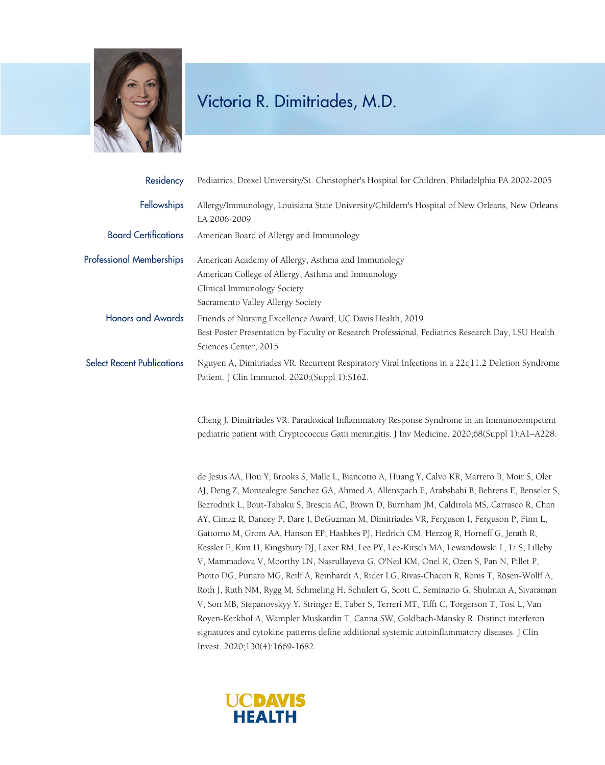

## Victoria R. Dimitriades, M.D.

| Residency                         | Pediatrics, Drexel University/St. Christopher's Hospital for Children, Philadelphia PA 2002-2005                                                                                         |
|-----------------------------------|------------------------------------------------------------------------------------------------------------------------------------------------------------------------------------------|
| <b>Fellowships</b>                | Allergy/Immunology, Louisiana State University/Childern's Hospital of New Orleans, New Orleans<br>LA 2006-2009                                                                           |
| <b>Board Certifications</b>       | American Board of Allergy and Immunology                                                                                                                                                 |
| <b>Professional Memberships</b>   | American Academy of Allergy, Asthma and Immunology<br>American College of Allergy, Asthma and Immunology<br>Clinical Immunology Society                                                  |
|                                   | Sacramento Valley Allergy Society                                                                                                                                                        |
| <b>Honors and Awards</b>          | Friends of Nursing Excellence Award, UC Davis Health, 2019<br>Best Poster Presentation by Faculty or Research Professional, Pediatrics Research Day, LSU Health<br>Sciences Center, 2015 |
| <b>Select Recent Publications</b> | Nguyen A, Dimitriades VR. Recurrent Respiratory Viral Infections in a 22q11.2 Deletion Syndrome<br>Patient. J Clin Immunol. 2020;(Suppl 1):S162.                                         |

Cheng J, Dimitriades VR. Paradoxical Inflammatory Response Syndrome in an Immunocompetent pediatric patient with Cryptococcus Gatii meningitis. J Inv Medicine. 2020;68(Suppl 1):A1–A228.

de Jesus AA, Hou Y, Brooks S, Malle L, Biancotto A, Huang Y, Calvo KR, Marrero B, Moir S, Oler AJ, Deng Z, Montealegre Sanchez GA, Ahmed A, Allenspach E, Arabshahi B, Behrens E, Benseler S, Bezrodnik L, Bout-Tabaku S, Brescia AC, Brown D, Burnham JM, Caldirola MS, Carrasco R, Chan AY, Cimaz R, Dancey P, Dare J, DeGuzman M, Dimitriades VR, Ferguson I, Ferguson P, Finn L, Gattorno M, Grom AA, Hanson EP, Hashkes PJ, Hedrich CM, Herzog R, Horneff G, Jerath R, Kessler E, Kim H, Kingsbury DJ, Laxer RM, Lee PY, Lee-Kirsch MA, Lewandowski L, Li S, Lilleby V, Mammadova V, Moorthy LN, Nasrullayeva G, O'Neil KM, Onel K, Ozen S, Pan N, Pillet P, Piotto DG, Punaro MG, Reiff A, Reinhardt A, Rider LG, Rivas-Chacon R, Ronis T, Rösen-Wolff A, Roth J, Ruth NM, Rygg M, Schmeling H, Schulert G, Scott C, Seminario G, Shulman A, Sivaraman V, Son MB, Stepanovskyy Y, Stringer E, Taber S, Terreri MT, Tifft C, Torgerson T, Tosi L, Van Royen-Kerkhof A, Wampler Muskardin T, Canna SW, Goldbach-Mansky R. Distinct interferon signatures and cytokine patterns define additional systemic autoinflammatory diseases. J Clin Invest. 2020;130(4):1669-1682.